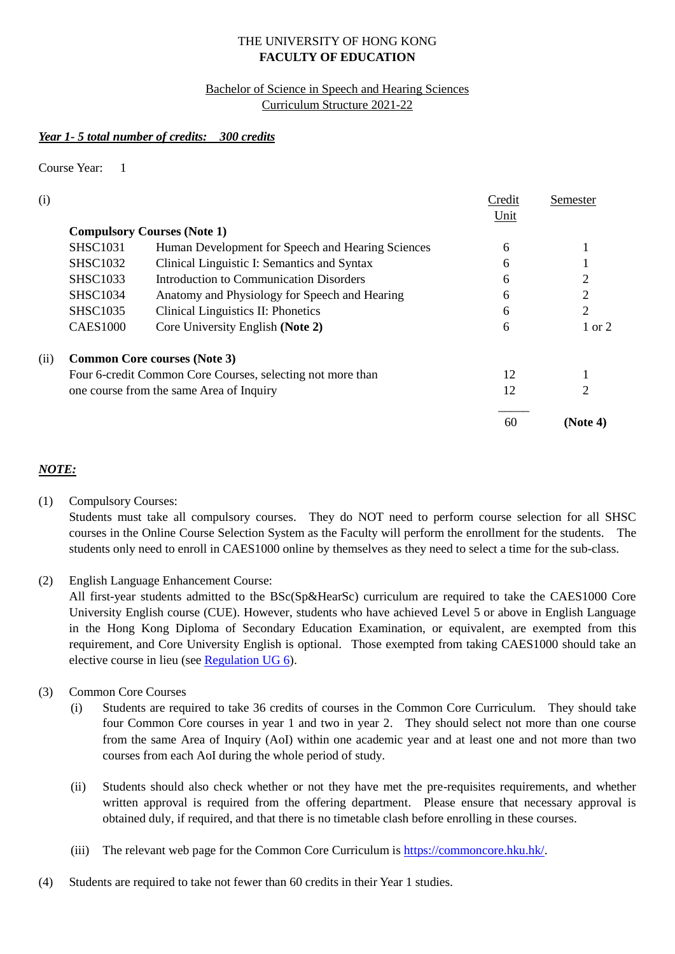## THE UNIVERSITY OF HONG KONG **FACULTY OF EDUCATION**

## Bachelor of Science in Speech and Hearing Sciences Curriculum Structure 2021-22

## *Year 1- 5 total number of credits: 300 credits*

Course Year: 1

| (i)  |                                                            |                                                   | Credit | Semester          |
|------|------------------------------------------------------------|---------------------------------------------------|--------|-------------------|
|      |                                                            |                                                   | Unit   |                   |
|      |                                                            | <b>Compulsory Courses (Note 1)</b>                |        |                   |
|      | <b>SHSC1031</b>                                            | Human Development for Speech and Hearing Sciences | 6      |                   |
|      | <b>SHSC1032</b>                                            | Clinical Linguistic I: Semantics and Syntax       | 6      |                   |
|      | <b>SHSC1033</b>                                            | Introduction to Communication Disorders           | 6      |                   |
|      | <b>SHSC1034</b>                                            | Anatomy and Physiology for Speech and Hearing     | 6      | 2                 |
|      | <b>SHSC1035</b>                                            | Clinical Linguistics II: Phonetics                | 6      | 2                 |
|      | <b>CAES1000</b>                                            | Core University English (Note 2)                  | 6      | $1 \text{ or } 2$ |
| (ii) |                                                            | <b>Common Core courses (Note 3)</b>               |        |                   |
|      | Four 6-credit Common Core Courses, selecting not more than |                                                   | 12     |                   |
|      |                                                            | one course from the same Area of Inquiry          | 12     |                   |
|      |                                                            |                                                   | 60     | (Note 4)          |

# *NOTE:*

(1) Compulsory Courses:

Students must take all compulsory courses. They do NOT need to perform course selection for all SHSC courses in the Online Course Selection System as the Faculty will perform the enrollment for the students. The students only need to enroll in CAES1000 online by themselves as they need to select a time for the sub-class.

(2) English Language Enhancement Course:

All first-year students admitted to the BSc(Sp&HearSc) curriculum are required to take the CAES1000 Core University English course (CUE). However, students who have achieved Level 5 or above in English Language in the Hong Kong Diploma of Secondary Education Examination, or equivalent, are exempted from this requirement, and Core University English is optional. Those exempted from taking CAES1000 should take an elective course in lieu (see [Regulation UG 6\)](https://aao.hku.hk/reg-and-syl/).

- (3) Common Core Courses
	- (i) Students are required to take 36 credits of courses in the Common Core Curriculum. They should take four Common Core courses in year 1 and two in year 2. They should select not more than one course from the same Area of Inquiry (AoI) within one academic year and at least one and not more than two courses from each AoI during the whole period of study.
	- (ii) Students should also check whether or not they have met the pre-requisites requirements, and whether written approval is required from the offering department. Please ensure that necessary approval is obtained duly, if required, and that there is no timetable clash before enrolling in these courses.
	- (iii) The relevant web page for the Common Core Curriculum is [https://commoncore.hku.hk/.](https://commoncore.hku.hk/)
- (4) Students are required to take not fewer than 60 credits in their Year 1 studies.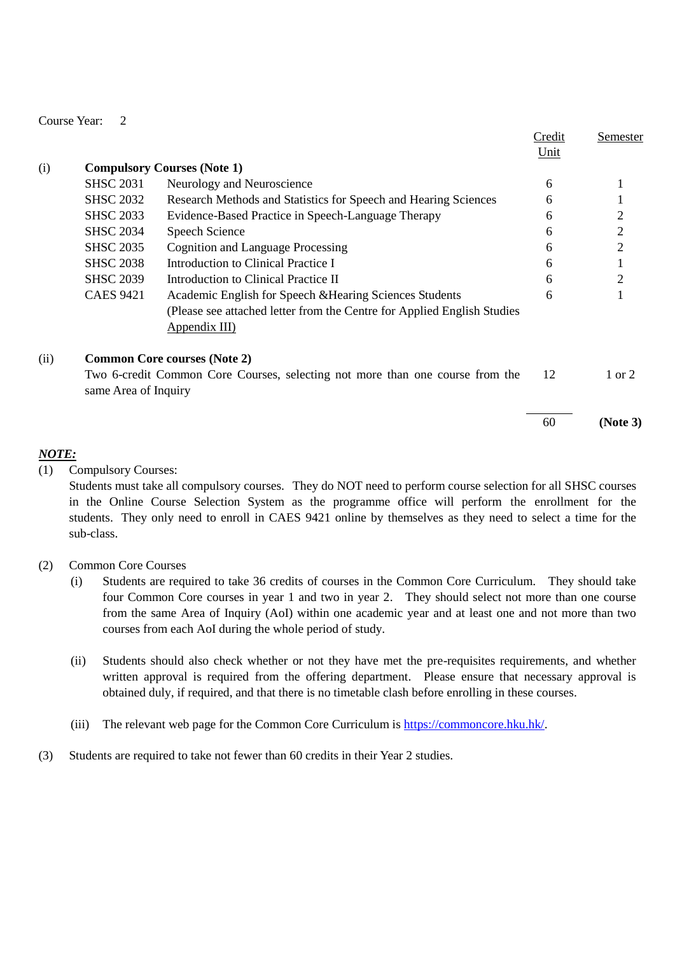|      |                                                                                                       |                                                                          | Credit | Semester       |
|------|-------------------------------------------------------------------------------------------------------|--------------------------------------------------------------------------|--------|----------------|
|      |                                                                                                       |                                                                          | Unit   |                |
| (i)  | <b>Compulsory Courses (Note 1)</b>                                                                    |                                                                          |        |                |
|      | <b>SHSC 2031</b>                                                                                      | Neurology and Neuroscience                                               | 6      |                |
|      | <b>SHSC 2032</b>                                                                                      | Research Methods and Statistics for Speech and Hearing Sciences          | 6      |                |
|      | <b>SHSC 2033</b>                                                                                      | Evidence-Based Practice in Speech-Language Therapy                       | 6      | 2              |
|      | <b>SHSC 2034</b>                                                                                      | Speech Science                                                           | 6      | $\mathfrak{2}$ |
|      | <b>SHSC 2035</b>                                                                                      | <b>Cognition and Language Processing</b>                                 | 6      | $\mathfrak{2}$ |
|      | <b>SHSC 2038</b>                                                                                      | Introduction to Clinical Practice I                                      | 6      |                |
|      | <b>SHSC 2039</b>                                                                                      | Introduction to Clinical Practice II                                     | 6      | 2              |
|      | <b>CAES 9421</b>                                                                                      | Academic English for Speech & Hearing Sciences Students                  | 6      |                |
|      |                                                                                                       | (Please see attached letter from the Centre for Applied English Studies) |        |                |
|      |                                                                                                       | <u>Appendix III)</u>                                                     |        |                |
| (ii) |                                                                                                       | <b>Common Core courses (Note 2)</b>                                      |        |                |
|      | Two 6-credit Common Core Courses, selecting not more than one course from the<br>same Area of Inquiry |                                                                          | 12     | 1 or 2         |
|      |                                                                                                       |                                                                          | 60     | (Note 3)       |

# *NOTE:*

(1) Compulsory Courses:

Students must take all compulsory courses. They do NOT need to perform course selection for all SHSC courses in the Online Course Selection System as the programme office will perform the enrollment for the students. They only need to enroll in CAES 9421 online by themselves as they need to select a time for the sub-class.

## (2) Common Core Courses

- (i) Students are required to take 36 credits of courses in the Common Core Curriculum. They should take four Common Core courses in year 1 and two in year 2. They should select not more than one course from the same Area of Inquiry (AoI) within one academic year and at least one and not more than two courses from each AoI during the whole period of study.
- (ii) Students should also check whether or not they have met the pre-requisites requirements, and whether written approval is required from the offering department. Please ensure that necessary approval is obtained duly, if required, and that there is no timetable clash before enrolling in these courses.
- (iii) The relevant web page for the Common Core Curriculum is [https://commoncore.hku.hk/.](https://commoncore.hku.hk/)
- (3) Students are required to take not fewer than 60 credits in their Year 2 studies.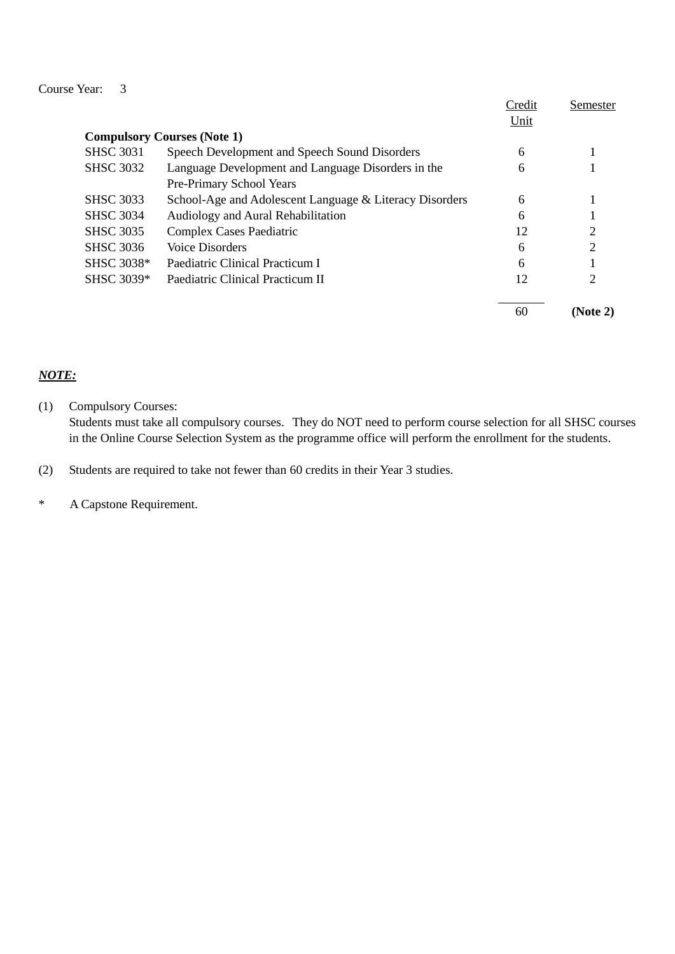|                  |                                                         | Credit | Semester |
|------------------|---------------------------------------------------------|--------|----------|
|                  |                                                         | Unit   |          |
|                  | <b>Compulsory Courses (Note 1)</b>                      |        |          |
| <b>SHSC 3031</b> | Speech Development and Speech Sound Disorders           | 6      |          |
| <b>SHSC 3032</b> | Language Development and Language Disorders in the      | 6      |          |
|                  | Pre-Primary School Years                                |        |          |
| <b>SHSC 3033</b> | School-Age and Adolescent Language & Literacy Disorders | 6      |          |
| <b>SHSC 3034</b> | Audiology and Aural Rehabilitation                      | 6      |          |
| <b>SHSC 3035</b> | <b>Complex Cases Paediatric</b>                         | 12     | ◠        |
| <b>SHSC 3036</b> | Voice Disorders                                         | 6      | ↑        |
| SHSC 3038*       | Paediatric Clinical Practicum I                         | 6      |          |
| SHSC 3039*       | Paediatric Clinical Practicum II                        | 12     | 2        |
|                  |                                                         | 60     | (Note 2) |

# *NOTE:*

(1) Compulsory Courses:

Students must take all compulsory courses. They do NOT need to perform course selection for all SHSC courses in the Online Course Selection System as the programme office will perform the enrollment for the students.

(2) Students are required to take not fewer than 60 credits in their Year 3 studies.

\* A Capstone Requirement.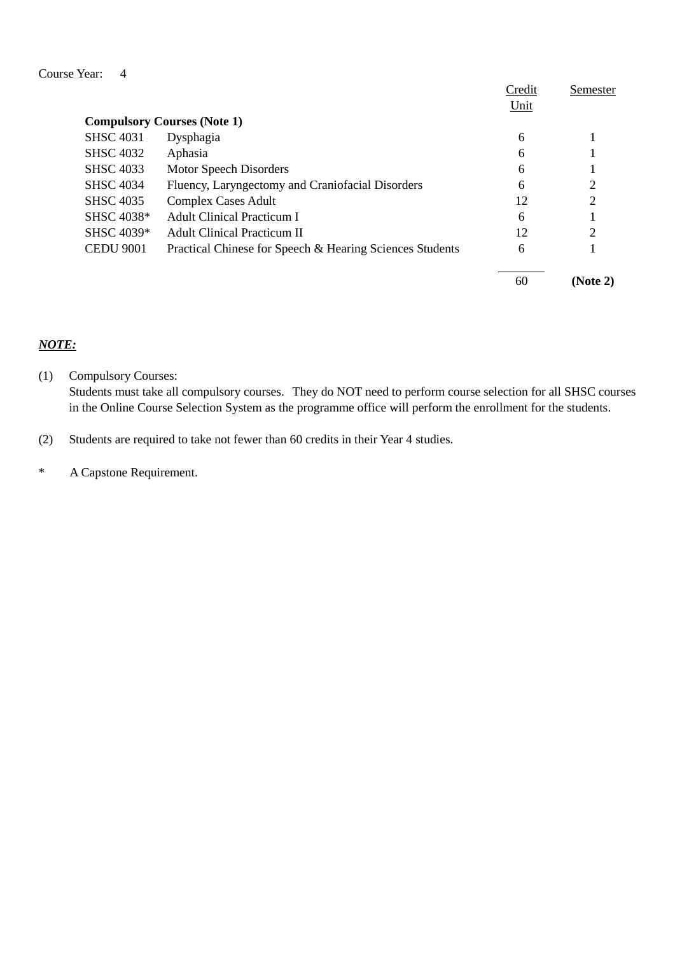|                  |                                                          | Credit | Semester       |
|------------------|----------------------------------------------------------|--------|----------------|
|                  |                                                          | Unit   |                |
|                  | <b>Compulsory Courses (Note 1)</b>                       |        |                |
| <b>SHSC 4031</b> | Dysphagia                                                | 6      |                |
| <b>SHSC 4032</b> | Aphasia                                                  | 6      |                |
| <b>SHSC 4033</b> | Motor Speech Disorders                                   | 6      |                |
| <b>SHSC 4034</b> | Fluency, Laryngectomy and Craniofacial Disorders         | 6      |                |
| <b>SHSC 4035</b> | <b>Complex Cases Adult</b>                               | 12     | $\overline{c}$ |
| SHSC 4038*       | <b>Adult Clinical Practicum I</b>                        | 6      |                |
| SHSC 4039*       | <b>Adult Clinical Practicum II</b>                       | 12     | $\mathfrak{D}$ |
| <b>CEDU 9001</b> | Practical Chinese for Speech & Hearing Sciences Students | 6      |                |
|                  |                                                          | 60     | (Note 2)       |

#### *NOTE:*

(1) Compulsory Courses: Students must take all compulsory courses. They do NOT need to perform course selection for all SHSC courses in the Online Course Selection System as the programme office will perform the enrollment for the students.

(2) Students are required to take not fewer than 60 credits in their Year 4 studies.

\* A Capstone Requirement.